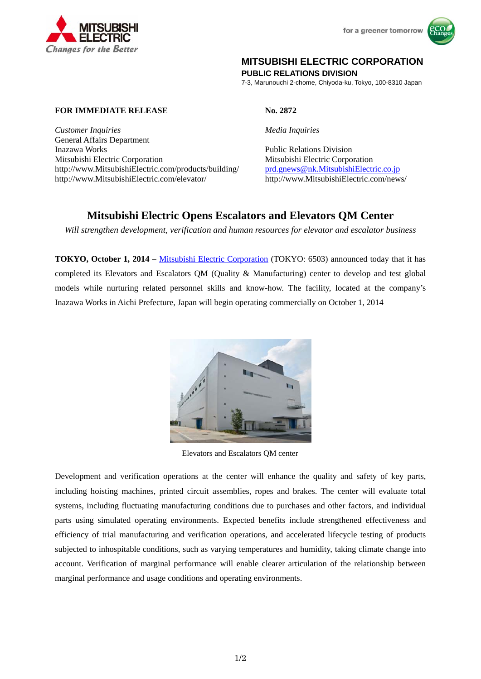



# **MITSUBISHI ELECTRIC CORPORATION**

**PUBLIC RELATIONS DIVISION** 

7-3, Marunouchi 2-chome, Chiyoda-ku, Tokyo, 100-8310 Japan

## **FOR IMMEDIATE RELEASE No. 2872**

*Customer Inquiries Media Inquiries* General Affairs Department Inazawa Works Public Relations Division Mitsubishi Electric Corporation Mitsubishi Electric Corporation http://www.MitsubishiElectric.com/products/building/ prd.gnews@nk.MitsubishiElectric.co.jp http://www.MitsubishiElectric.com/elevator/ http://www.MitsubishiElectric.com/news/

# **Mitsubishi Electric Opens Escalators and Elevators QM Center**

*Will strengthen development, verification and human resources for elevator and escalator business* 

**TOKYO, October 1, 2014** – Mitsubishi Electric Corporation (TOKYO: 6503) announced today that it has completed its Elevators and Escalators QM (Quality & Manufacturing) center to develop and test global models while nurturing related personnel skills and know-how. The facility, located at the company's Inazawa Works in Aichi Prefecture, Japan will begin operating commercially on October 1, 2014



Elevators and Escalators QM center

Development and verification operations at the center will enhance the quality and safety of key parts, including hoisting machines, printed circuit assemblies, ropes and brakes. The center will evaluate total systems, including fluctuating manufacturing conditions due to purchases and other factors, and individual parts using simulated operating environments. Expected benefits include strengthened effectiveness and efficiency of trial manufacturing and verification operations, and accelerated lifecycle testing of products subjected to inhospitable conditions, such as varying temperatures and humidity, taking climate change into account. Verification of marginal performance will enable clearer articulation of the relationship between marginal performance and usage conditions and operating environments.